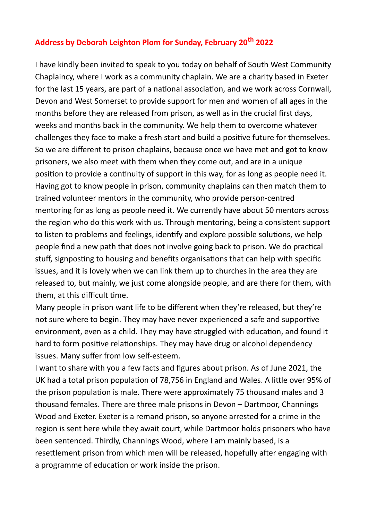## **Address by Deborah Leighton Plom for Sunday, February 20th 2022**

I have kindly been invited to speak to you today on behalf of South West Community Chaplaincy, where I work as a community chaplain. We are a charity based in Exeter for the last 15 years, are part of a national association, and we work across Cornwall, Devon and West Somerset to provide support for men and women of all ages in the months before they are released from prison, as well as in the crucial first days, weeks and months back in the community. We help them to overcome whatever challenges they face to make a fresh start and build a positive future for themselves. So we are different to prison chaplains, because once we have met and got to know prisoners, we also meet with them when they come out, and are in a unique position to provide a continuity of support in this way, for as long as people need it. Having got to know people in prison, community chaplains can then match them to trained volunteer mentors in the community, who provide person-centred mentoring for as long as people need it. We currently have about 50 mentors across the region who do this work with us. Through mentoring, being a consistent support to listen to problems and feelings, identify and explore possible solutions, we help people find a new path that does not involve going back to prison. We do practical stuff, signposting to housing and benefits organisations that can help with specific issues, and it is lovely when we can link them up to churches in the area they are released to, but mainly, we just come alongside people, and are there for them, with them, at this difficult time.

Many people in prison want life to be different when they're released, but they're not sure where to begin. They may have never experienced a safe and supportive environment, even as a child. They may have struggled with education, and found it hard to form positive relationships. They may have drug or alcohol dependency issues. Many suffer from low self-esteem.

I want to share with you a few facts and figures about prison. As of June 2021, the UK had a total prison population of 78,756 in England and Wales. A little over 95% of the prison population is male. There were approximately 75 thousand males and 3 thousand females. There are three male prisons in Devon – Dartmoor, Channings Wood and Exeter. Exeter is a remand prison, so anyone arrested for a crime in the region is sent here while they await court, while Dartmoor holds prisoners who have been sentenced. Thirdly, Channings Wood, where I am mainly based, is a resettlement prison from which men will be released, hopefully after engaging with a programme of education or work inside the prison.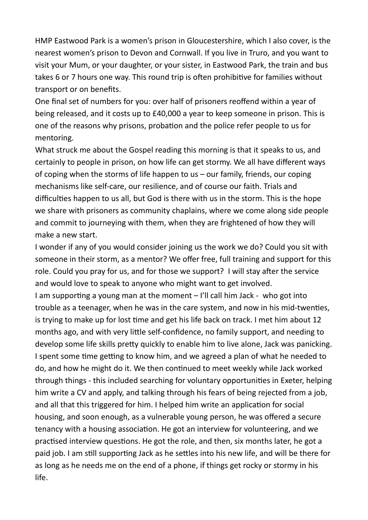HMP Eastwood Park is a women's prison in Gloucestershire, which I also cover, is the nearest women's prison to Devon and Cornwall. If you live in Truro, and you want to visit your Mum, or your daughter, or your sister, in Eastwood Park, the train and bus takes 6 or 7 hours one way. This round trip is often prohibitive for families without transport or on benefits.

One final set of numbers for you: over half of prisoners reoffend within a year of being released, and it costs up to £40,000 a year to keep someone in prison. This is one of the reasons why prisons, probation and the police refer people to us for mentoring.

What struck me about the Gospel reading this morning is that it speaks to us, and certainly to people in prison, on how life can get stormy. We all have different ways of coping when the storms of life happen to us – our family, friends, our coping mechanisms like self-care, our resilience, and of course our faith. Trials and difficulties happen to us all, but God is there with us in the storm. This is the hope we share with prisoners as community chaplains, where we come along side people and commit to journeying with them, when they are frightened of how they will make a new start.

I wonder if any of you would consider joining us the work we do? Could you sit with someone in their storm, as a mentor? We offer free, full training and support for this role. Could you pray for us, and for those we support? I will stay after the service and would love to speak to anyone who might want to get involved.

I am supporting a young man at the moment – I'll call him Jack - who got into trouble as a teenager, when he was in the care system, and now in his mid-twenties, is trying to make up for lost time and get his life back on track. I met him about 12 months ago, and with very little self-confidence, no family support, and needing to develop some life skills pretty quickly to enable him to live alone, Jack was panicking. I spent some time getting to know him, and we agreed a plan of what he needed to do, and how he might do it. We then continued to meet weekly while Jack worked through things - this included searching for voluntary opportunities in Exeter, helping him write a CV and apply, and talking through his fears of being rejected from a job, and all that this triggered for him. I helped him write an application for social housing, and soon enough, as a vulnerable young person, he was offered a secure tenancy with a housing association. He got an interview for volunteering, and we practised interview questions. He got the role, and then, six months later, he got a paid job. I am still supporting Jack as he settles into his new life, and will be there for as long as he needs me on the end of a phone, if things get rocky or stormy in his life.